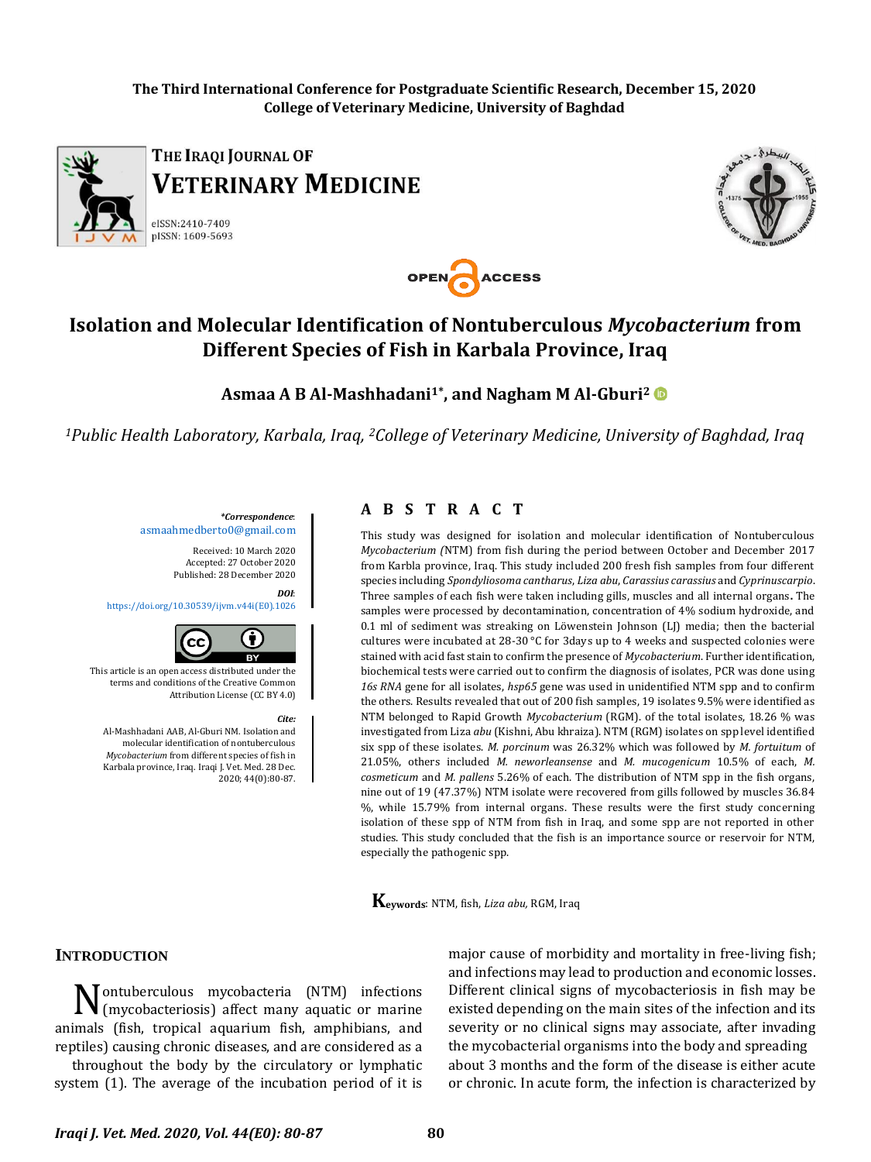**The Third International Conference for Postgraduate Scientific Research, December 15, 2020 College of Veterinary Medicine, University of Baghdad**



THE IRAQI JOURNAL OF **VETERINARY MEDICINE** 

eISSN:2410-7409 pISSN: 1609-5693





OPEN ACCESS

**Asmaa A B Al-Mashhadani1\*, and Nagham M Al-Gburi<sup>2</sup>**

*<sup>1</sup>Public Health Laboratory, Karbala, Iraq, 2College of Veterinary Medicine, University of Baghdad, Iraq*

*\*Correspondence*: [asmaahmedberto0@gmail.com](mailto:asmaahmedberto0@gmail.com)

> Received: 10 March 2020 Accepted: 27 October 2020 Published: 28 December 2020

> > *DOI*:

[https://doi.org/10.30539/ijvm.v44i\(E0\).1026](https://doi.org/10.30539/ijvm.v44i(E0).1026)



This article is an open access distributed under the terms and conditions of the Creative Common Attribution License (CC BY 4.0)

*Cite:* Al-Mashhadani AAB, Al-Gburi NM. Isolation and molecular identification of nontuberculous *Mycobacterium* from different species of fish in Karbala province, Iraq. Iraqi J. Vet. Med. 28 Dec. 2020; 44(0):80-87.

### **A B S T R A C T**

This study was designed for isolation and molecular identification of Nontuberculous *Mycobacterium (*NTM) from fish during the period between October and December 2017 from Karbla province, Iraq. This study included 200 fresh fish samples from four different species including *Spondyliosoma cantharus*, *Liza abu*, *Carassius carassius* and *Cyprinuscarpio*. Three samples of each fish were taken including gills, muscles and all internal organs**.** The samples were processed by decontamination, concentration of 4% sodium hydroxide, and 0.1 ml of sediment was streaking on Löwenstein Johnson (LJ) media; then the bacterial cultures were incubated at 28-30 °C for 3days up to 4 weeks and suspected colonies were stained with acid fast stain to confirm the presence of *Mycobacterium*. Further identification, biochemical tests were carried out to confirm the diagnosis of isolates, PCR was done using *16s RNA* gene for all isolates, *hsp65* gene was used in unidentified NTM spp and to confirm the others. Results revealed that out of 200 fish samples, 19 isolates 9.5% were identified as NTM belonged to Rapid Growth *Mycobacterium* (RGM). of the total isolates, 18.26 % was investigated from Liza *abu* (Kishni, Abu khraiza). NTM (RGM) isolates on spp level identified six spp of these isolates. *M. porcinum* was 26.32% which was followed by *M. fortuitum* of 21.05%, others included *M. neworleansense* and *M. mucogenicum* 10.5% of each, *M. cosmeticum* and *M. pallens* 5.26% of each. The distribution of NTM spp in the fish organs, nine out of 19 (47.37%) NTM isolate were recovered from gills followed by muscles 36.84 %, while 15.79% from internal organs. These results were the first study concerning isolation of these spp of NTM from fish in Iraq, and some spp are not reported in other studies. This study concluded that the fish is an importance source or reservoir for NTM, especially the pathogenic spp.

**Keywords**: NTM, fish, *Liza abu,* RGM, Iraq

## **INTRODUCTION**

 $\mathbf{N}$ ontuberculous mycobacteria (NTM) infections (mycobacteriosis) affect many aquatic or marine (mycobacteriosis) affect many aquatic or marine animals (fish, tropical aquarium fish, amphibians, and reptiles) causing chronic diseases, and are considered as a

throughout the body by the circulatory or lymphatic system (1). The average of the incubation period of it is

major cause of morbidity and mortality in free-living fish; and infections may lead to production and economic losses. Different clinical signs of mycobacteriosis in fish may be existed depending on the main sites of the infection and its severity or no clinical signs may associate, after invading the mycobacterial organisms into the body and spreading about 3 months and the form of the disease is either acute or chronic. In acute form, the infection is characterized by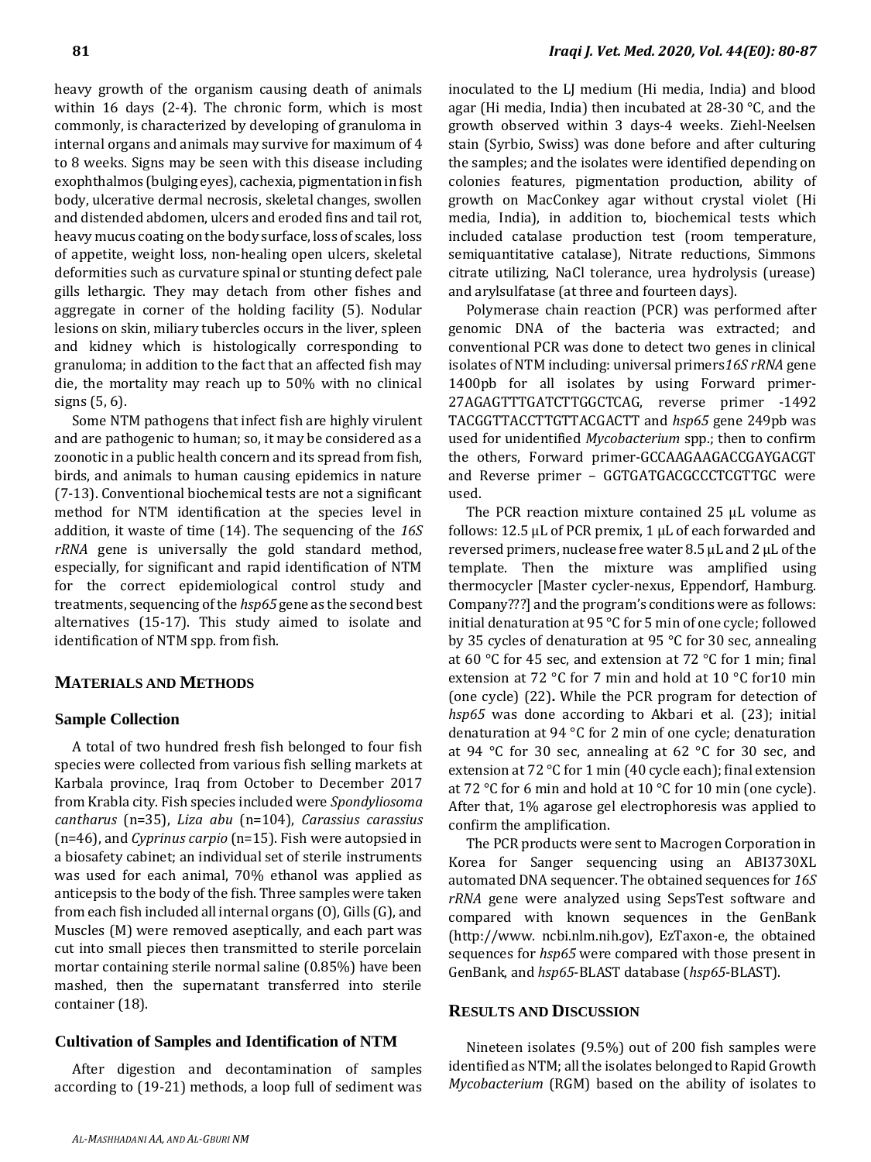heavy growth of the organism causing death of animals within 16 days (2-4). The chronic form, which is most commonly, is characterized by developing of granuloma in internal organs and animals may survive for maximum of 4 to 8 weeks. Signs may be seen with this disease including exophthalmos (bulging eyes), cachexia, pigmentation in fish body, ulcerative dermal necrosis, skeletal changes, swollen and distended abdomen, ulcers and eroded fins and tail rot, heavy mucus coating on the body surface, loss of scales, loss of appetite, weight loss, non-healing open ulcers, skeletal deformities such as curvature spinal or stunting defect pale gills lethargic. They may detach from other fishes and aggregate in corner of the holding facility (5). Nodular lesions on skin, miliary tubercles occurs in the liver, spleen and kidney which is histologically corresponding to granuloma; in addition to the fact that an affected fish may die, the mortality may reach up to 50% with no clinical signs (5, 6).

Some NTM pathogens that infect fish are highly virulent and are pathogenic to human; so, it may be considered as a zoonotic in a public health concern and its spread from fish, birds, and animals to human causing epidemics in nature (7-13). Conventional biochemical tests are not a significant method for NTM identification at the species level in addition, it waste of time (14). The sequencing of the *16S rRNA* gene is universally the gold standard method, especially, for significant and rapid identification of NTM for the correct epidemiological control study and treatments, sequencing of the *hsp65* gene as the second best alternatives (15-17). This study aimed to isolate and identification of NTM spp. from fish.

#### **MATERIALS AND METHODS**

#### **Sample Collection**

A total of two hundred fresh fish belonged to four fish species were collected from various fish selling markets at Karbala province, Iraq from October to December 2017 from Krabla city. Fish species included were *Spondyliosoma cantharus* (n=35), *Liza abu* (n=104), *Carassius carassius* (n=46), and *Cyprinus carpio* (n=15). Fish were autopsied in a biosafety cabinet; an individual set of sterile instruments was used for each animal, 70% ethanol was applied as anticepsis to the body of the fish. Three samples were taken from each fish included all internal organs (O), Gills (G), and Muscles (M) were removed aseptically, and each part was cut into small pieces then transmitted to sterile porcelain mortar containing sterile normal saline (0.85%) have been mashed, then the supernatant transferred into sterile container (18).

## **Cultivation of Samples and Identification of NTM**

After digestion and decontamination of samples according to (19-21) methods, a loop full of sediment was

inoculated to the LJ medium (Hi media, India) and blood agar (Hi media, India) then incubated at 28-30 °C, and the growth observed within 3 days-4 weeks. Ziehl-Neelsen stain (Syrbio, Swiss) was done before and after culturing the samples; and the isolates were identified depending on colonies features, pigmentation production, ability of growth on MacConkey agar without crystal violet (Hi media, India), in addition to, biochemical tests which included catalase production test (room temperature, semiquantitative catalase), Nitrate reductions, Simmons citrate utilizing, NaCl tolerance, urea hydrolysis (urease) and arylsulfatase (at three and fourteen days).

Polymerase chain reaction (PCR) was performed after genomic DNA of the bacteria was extracted; and conventional PCR was done to detect two genes in clinical isolates of NTM including: universal primers*16S rRNA* gene 1400pb for all isolates by using Forward primer-27AGAGTTTGATCTTGGCTCAG, reverse primer -1492 TACGGTTACCTTGTTACGACTT and *hsp65* gene 249pb was used for unidentified *Mycobacterium* spp.; then to confirm the others, Forward primer-GCCAAGAAGACCGAYGACGT and Reverse primer – GGTGATGACGCCCTCGTTGC were used.

The PCR reaction mixture contained 25 µL volume as follows: 12.5  $\mu$ L of PCR premix, 1  $\mu$ L of each forwarded and reversed primers, nuclease free water 8.5 µL and 2 µL of the template. Then the mixture was amplified using thermocycler [Master cycler-nexus, Eppendorf, Hamburg. Company???] and the program's conditionswere as follows: initial denaturation at 95 °C for 5 min of one cycle; followed by 35 cycles of denaturation at 95 °C for 30 sec, annealing at 60 °C for 45 sec, and extension at 72 °C for 1 min; final extension at 72 °C for 7 min and hold at 10 °C for10 min (one cycle) (22)**.** While the PCR program for detection of *hsp65* was done according to Akbari et al. (23); initial denaturation at 94 °C for 2 min of one cycle; denaturation at 94 °C for 30 sec, annealing at 62 °C for 30 sec, and extension at 72 °C for 1 min (40 cycle each); final extension at 72 °C for 6 min and hold at 10 °C for 10 min (one cycle). After that, 1% agarose gel electrophoresis was applied to confirm the amplification.

The PCR products were sent to Macrogen Corporation in Korea for Sanger sequencing using an ABI3730XL automated DNA sequencer. The obtained sequences for *16S rRNA* gene were analyzed using SepsTest software and compared with known sequences in the GenBank (http://www. ncbi.nlm.nih.gov), EzTaxon-e, the obtained sequences for *hsp65* were compared with those present in GenBank, and *hsp65*-BLAST database (*hsp65*-BLAST).

#### **RESULTS AND DISCUSSION**

Nineteen isolates (9.5%) out of 200 fish samples were identified as NTM; all the isolates belonged to Rapid Growth *Mycobacterium* (RGM) based on the ability of isolates to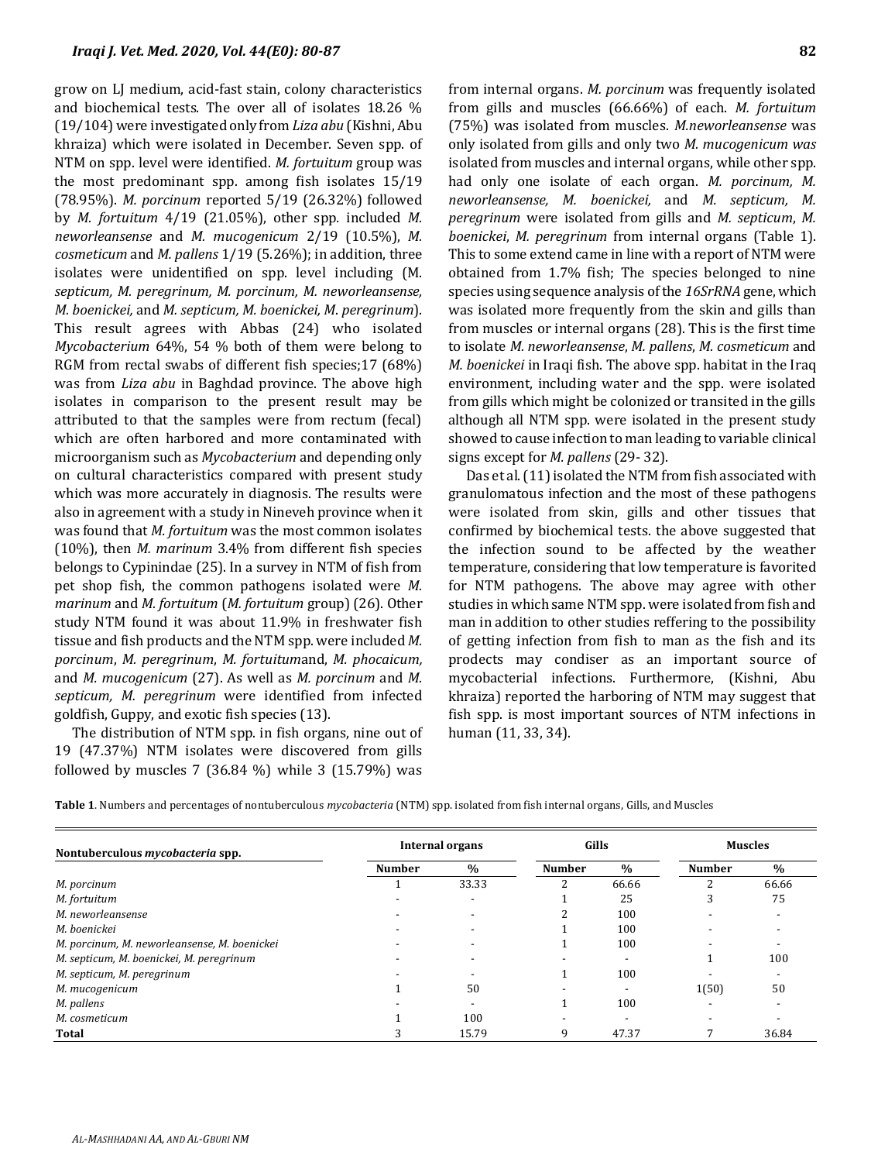grow on LJ medium, acid-fast stain, colony characteristics and biochemical tests. The over all of isolates 18.26 % (19/104) were investigated only from *Liza abu* (Kishni, Abu khraiza) which were isolated in December. Seven spp. of NTM on spp. level were identified. *M. fortuitum* group was the most predominant spp. among fish isolates 15/19 (78.95%). *M. porcinum* reported 5/19 (26.32%) followed by *M. fortuitum* 4/19 (21.05%), other spp*.* included *M. neworleansense* and *M. mucogenicum* 2/19 (10.5%), *M. cosmeticum* and *M. pallens* 1/19 (5.26%); in addition, three isolates were unidentified on spp. level including (M. *septicum, M. peregrinum, M. porcinum, M. neworleansense, M. boenickei,* and *M. septicum, M. boenickei, M*. *peregrinum*). This result agrees with Abbas (24) who isolated *Mycobacterium* 64%, 54 % both of them were belong to RGM from rectal swabs of different fish species;17 (68%) was from *Liza abu* in Baghdad province. The above high isolates in comparison to the present result may be attributed to that the samples were from rectum (fecal) which are often harbored and more contaminated with microorganism such as *Mycobacterium* and depending only on cultural characteristics compared with present study which was more accurately in diagnosis. The results were also in agreement with a study in Nineveh province when it was found that *M. fortuitum* was the most common isolates (10%), then *M. marinum* 3.4% from different fish species belongs to Cypinindae (25). In a survey in NTM of fish from pet shop fish, the common pathogens isolated were *M. marinum* and *M. fortuitum* (*M. fortuitum* group) (26). Other study NTM found it was about 11.9% in freshwater fish tissue and fish products and the NTM spp. were included *M. porcinum*, *M. peregrinum*, *M. fortuitum*and, *M. phocaicum,* and *M. mucogenicum* (27). As well as *M. porcinum* and *M. septicum, M. peregrinum* were identified from infected goldfish, Guppy, and exotic fish species (13).

The distribution of NTM spp. in fish organs, nine out of 19 (47.37%) NTM isolates were discovered from gills followed by muscles 7 (36.84 %) while 3 (15.79%) was

from internal organs. *M. porcinum* was frequently isolated from gills and muscles (66.66%) of each. *M. fortuitum* (75%) was isolated from muscles. *M.neworleansense* was only isolated from gills and only two *M. mucogenicum was* isolated from muscles and internal organs, while other spp. had only one isolate of each organ. *M. porcinum, M. neworleansense, M. boenickei,* and *M. septicum, M. peregrinum* were isolated from gills and *M. septicum*, *M. boenickei*, *M. peregrinum* from internal organs (Table 1). This to some extend came in line with a report of NTM were obtained from 1.7% fish; The species belonged to nine species using sequence analysis of the *16SrRNA* gene, which was isolated more frequently from the skin and gills than from muscles or internal organs (28). This is the first time to isolate *M. neworleansense*, *M. pallens*, *M. cosmeticum* and *M. boenickei* in Iraqi fish. The above spp. habitat in the Iraq environment, including water and the spp. were isolated from gills which might be colonized or transited in the gills although all NTM spp. were isolated in the present study showed to cause infection to man leading to variable clinical signs except for *M. pallens* (29- 32).

Das et al. (11) isolated the NTM from fish associated with granulomatous infection and the most of these pathogens were isolated from skin, gills and other tissues that confirmed by biochemical tests. the above suggested that the infection sound to be affected by the weather temperature, considering that low temperature is favorited for NTM pathogens. The above may agree with other studies in which same NTM spp.were isolated from fish and man in addition to other studies reffering to the possibility of getting infection from fish to man as the fish and its prodects may condiser as an important source of mycobacterial infections. Furthermore, (Kishni, Abu khraiza) reported the harboring of NTM may suggest that fish spp. is most important sources of NTM infections in human (11, 33, 34).

|  | Table 1. Numbers and percentages of nontuberculous <i>mycobacteria</i> (NTM) spp. isolated from fish internal organs, Gills, and Muscles |  |  |  |  |  |  |
|--|------------------------------------------------------------------------------------------------------------------------------------------|--|--|--|--|--|--|
|--|------------------------------------------------------------------------------------------------------------------------------------------|--|--|--|--|--|--|

|                                              | Internal organs |               | Gills         |       | <b>Muscles</b> |       |
|----------------------------------------------|-----------------|---------------|---------------|-------|----------------|-------|
| Nontuberculous <i>mycobacteria</i> spp.      |                 |               |               |       |                |       |
|                                              | <b>Number</b>   | $\frac{9}{6}$ | <b>Number</b> | $\%$  | <b>Number</b>  | $\%$  |
| M. porcinum                                  |                 | 33.33         |               | 66.66 |                | 66.66 |
| M. fortuitum                                 |                 |               |               | 25    | 3              | 75    |
| M. neworleansense                            |                 |               |               | 100   |                |       |
| M. boenickei                                 |                 |               |               | 100   |                |       |
| M. porcinum, M. neworleansense, M. boenickei |                 |               |               | 100   |                |       |
| M. septicum, M. boenickei, M. peregrinum     |                 |               |               |       |                | 100   |
| M. septicum, M. peregrinum                   |                 |               |               | 100   |                |       |
| M. mucogenicum                               |                 | 50            |               |       | 1(50)          | 50    |
| M. pallens                                   |                 |               |               | 100   |                |       |
| M. cosmeticum                                |                 | 100           |               |       |                |       |
| Total                                        |                 | 15.79         | 9             | 47.37 |                | 36.84 |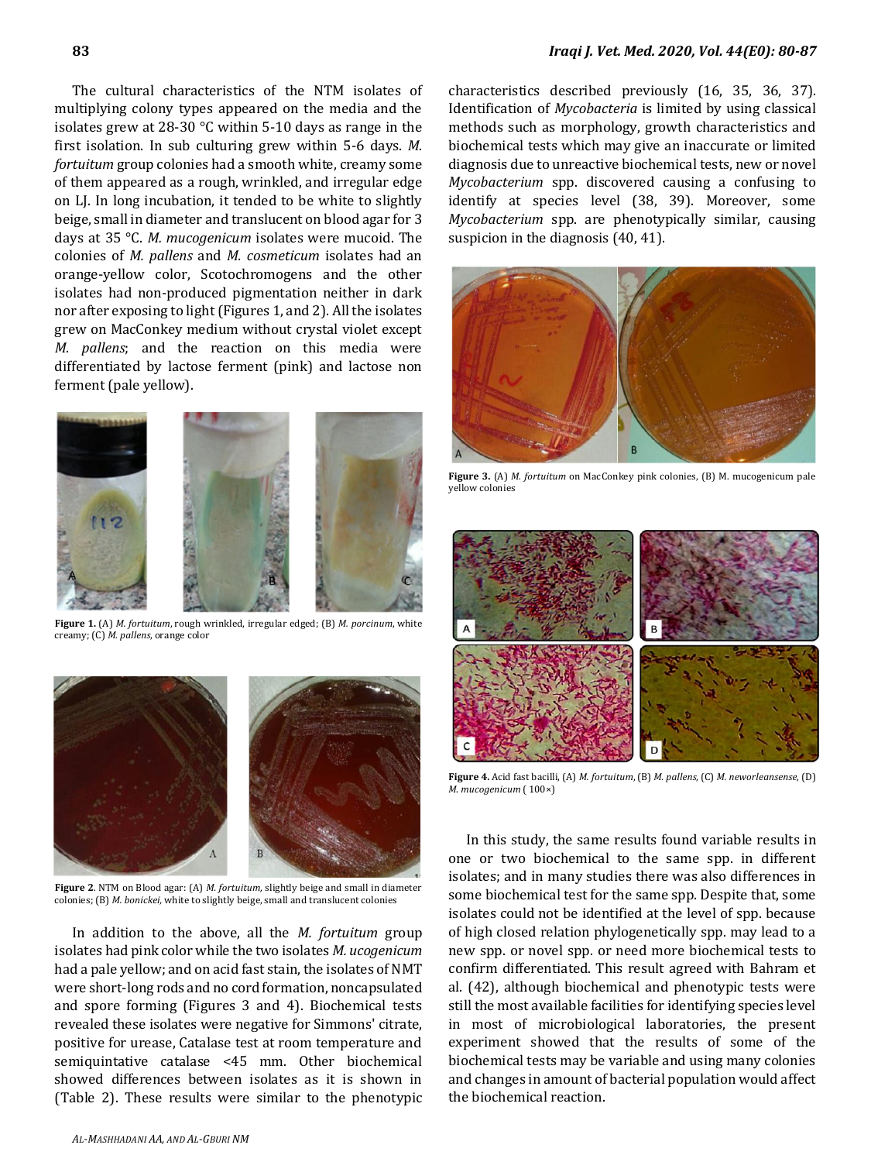The cultural characteristics of the NTM isolates of multiplying colony types appeared on the media and the isolates grew at 28-30 °C within 5-10 days as range in the first isolation. In sub culturing grew within 5-6 days. *M. fortuitum* group colonies had a smooth white, creamy some of them appeared as a rough, wrinkled, and irregular edge on LJ. In long incubation, it tended to be white to slightly beige, small in diameter and translucent on blood agar for 3 days at 35 °C. *M. mucogenicum* isolates were mucoid. The colonies of *M. pallens* and *M. cosmeticum* isolates had an orange-yellow color, Scotochromogens and the other isolates had non-produced pigmentation neither in dark nor after exposing to light (Figures 1, and 2). All the isolates grew on MacConkey medium without crystal violet except *M. pallens*; and the reaction on this media were differentiated by lactose ferment (pink) and lactose non ferment (pale yellow).



**Figure 1.** (A) *M. fortuitum*, rough wrinkled, irregular edged; (B) *M. porcinum*, white creamy; (C) *M. pallens*, orange color



**Figure 2**. NTM on Blood agar: (A) *M. fortuitum,* slightly beige and small in diameter colonies; (B) *M. bonickei,* white to slightly beige, small and translucent colonies

In addition to the above, all the *M. fortuitum* group isolates had pink color while the two isolates *M. ucogenicum* had a pale yellow; and on acid fast stain, the isolates of NMT were short-long rods and no cord formation, noncapsulated and spore forming (Figures 3 and 4). Biochemical tests revealed these isolates were negative for Simmons' citrate, positive for urease, Catalase test at room temperature and semiquintative catalase <45 mm. Other biochemical showed differences between isolates as it is shown in (Table 2). These results were similar to the phenotypic characteristics described previously (16, 35, 36, 37). Identification of *Mycobacteria* is limited by using classical methods such as morphology, growth characteristics and biochemical tests which may give an inaccurate or limited diagnosis due to unreactive biochemical tests, new or novel *Mycobacterium* spp. discovered causing a confusing to identify at species level (38, 39). Moreover, some *Mycobacterium* spp. are phenotypically similar, causing suspicion in the diagnosis (40, 41).



**Figure 3.** (A) *M. fortuitum* on MacConkey pink colonies, (B) M. mucogenicum pale yellow colonies



**Figure 4.** Acid fast bacilli, (A) *M. fortuitum*, (B) *M. pallens*, (C) *M. neworleansense*, (D) *M*. *mucogenicum* ( 100×)

In this study, the same results found variable results in one or two biochemical to the same spp. in different isolates; and in many studies there was also differences in some biochemical test for the same spp. Despite that, some isolates could not be identified at the level of spp. because of high closed relation phylogenetically spp. may lead to a new spp. or novel spp. or need more biochemical tests to confirm differentiated. This result agreed with Bahram et al. (42), although biochemical and phenotypic tests were still the most available facilities for identifying species level in most of microbiological laboratories, the present experiment showed that the results of some of the biochemical tests may be variable and using many colonies and changes in amount of bacterial population would affect the biochemical reaction.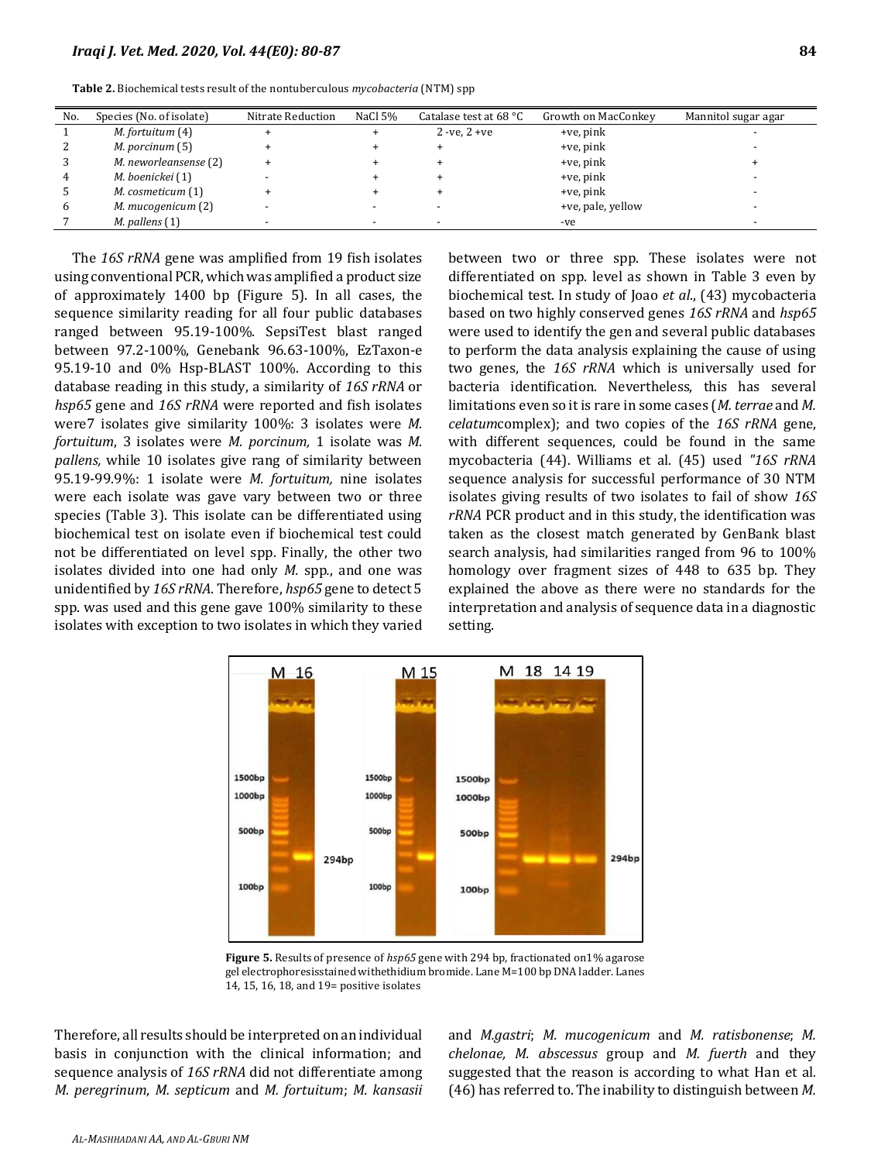| No. | Species (No. of isolate) | Nitrate Reduction | NaCl 5% | Catalase test at 68 $^{\circ}$ C | Growth on MacConkey | Mannitol sugar agar |
|-----|--------------------------|-------------------|---------|----------------------------------|---------------------|---------------------|
|     | M. fortuitum (4)         |                   |         | $2 - ve, 2 + ve$                 | +ve, pink           |                     |
| 2   | M. porcinum (5)          |                   |         |                                  | $+ve$ , pink        |                     |
| 3   | M. neworleansense (2)    |                   |         |                                  | $+ve$ , pink        |                     |
| 4   | M. boenickei (1)         |                   |         |                                  | $+ve$ , pink        |                     |
| 5   | M. cosmeticum (1)        |                   |         |                                  | +ve, pink           |                     |
| 6   | M. mucogenicum (2)       |                   |         |                                  | +ve, pale, yellow   |                     |
|     | $M.$ pallens $(1)$       |                   |         |                                  | -ve                 |                     |

**Table 2.** Biochemical tests result of the nontuberculous *mycobacteria* (NTM) spp

The *16S rRNA* gene was amplified from 19 fish isolates using conventional PCR, which was amplified a product size of approximately 1400 bp (Figure 5). In all cases, the sequence similarity reading for all four public databases ranged between 95.19-100%. SepsiTest blast ranged between 97.2-100%, Genebank 96.63-100%, EzTaxon-e 95.19-10 and 0% Hsp-BLAST 100%. According to this database reading in this study, a similarity of *16S rRNA* or *hsp65* gene and *16S rRNA* were reported and fish isolates were7 isolates give similarity 100%: 3 isolates were *M. fortuitum*, 3 isolates were *M. porcinum,* 1 isolate was *M. pallens,* while 10 isolates give rang of similarity between 95.19-99.9%: 1 isolate were *M. fortuitum,* nine isolates were each isolate was gave vary between two or three species (Table 3). This isolate can be differentiated using biochemical test on isolate even if biochemical test could not be differentiated on level spp. Finally, the other two isolates divided into one had only *M.* spp*.*, and one was unidentified by *16S rRNA*. Therefore, *hsp65* gene to detect 5 spp. was used and this gene gave 100% similarity to these isolates with exception to two isolates in which they varied

between two or three spp. These isolates were not differentiated on spp. level as shown in Table 3 even by biochemical test. In study of Joao *et al*., (43) mycobacteria based on two highly conserved genes *16S rRNA* and *hsp65* were used to identify the gen and several public databases to perform the data analysis explaining the cause of using two genes, the *16S rRNA* which is universally used for bacteria identification. Nevertheless, this has several limitations even so it is rare in some cases (*M. terrae* and *M. celatum*complex); and two copies of the *16S rRNA* gene, with different sequences, could be found in the same mycobacteria (44). Williams et al*.* (45) used *"16S rRNA* sequence analysis for successful performance of 30 NTM isolates giving results of two isolates to fail of show *16S rRNA* PCR product and in this study, the identification was taken as the closest match generated by GenBank blast search analysis, had similarities ranged from 96 to 100% homology over fragment sizes of 448 to 635 bp. They explained the above as there were no standards for the interpretation and analysis of sequence data in a diagnostic setting.



**Figure 5.** Results of presence of *hsp65* gene with 294 bp, fractionated on1% agarose gel electrophoresisstained withethidium bromide. Lane M=100 bp DNA ladder. Lanes 14, 15, 16, 18, and 19= positive isolates

Therefore, all results should be interpreted on an individual basis in conjunction with the clinical information; and sequence analysis of *16S rRNA* did not differentiate among *M. peregrinum*, *M. septicum* and *M. fortuitum*; *M. kansasii* and *M.gastri*; *M. mucogenicum* and *M. ratisbonense*; *M. chelonae, M. abscessus* group and *M. fuerth* and they suggested that the reason is according to what Han et al*.* (46) has referred to. The inability to distinguish between *M.*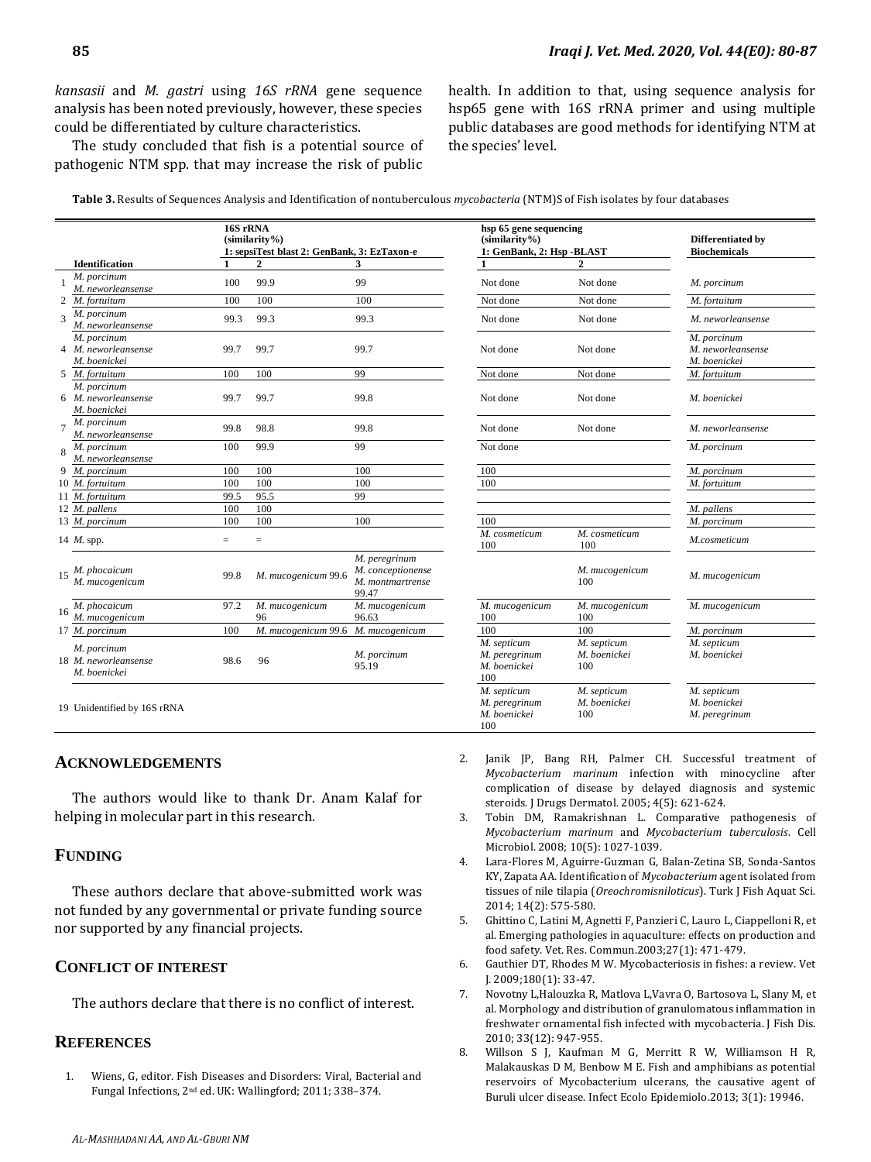*kansasii* and *M. gastri* using *16S rRNA* gene sequence analysis has been noted previously, however, these species could be differentiated by culture characteristics.

The study concluded that fish is a potential source of pathogenic NTM spp. that may increase the risk of public health. In addition to that, using sequence analysis for hsp65 gene with 16S rRNA primer and using multiple public databases are good methods for identifying NTM at the species' level.

**Table 3.** Results of Sequences Analysis and Identification of nontuberculous *mycobacteria* (NTM)S of Fish isolates by four databases

|    |                                                     | 16S rRNA<br>$(similarity\%)$<br>1: sepsiTest blast 2: GenBank, 3: EzTaxon-e |                      |                                                                 | hsp 65 gene sequencing<br>$(similarity\%)$<br>1: GenBank, 2: Hsp -BLAST |                                    | Differentiated by<br><b>Biochemicals</b>         |
|----|-----------------------------------------------------|-----------------------------------------------------------------------------|----------------------|-----------------------------------------------------------------|-------------------------------------------------------------------------|------------------------------------|--------------------------------------------------|
|    | <b>Identification</b>                               |                                                                             |                      | 3                                                               |                                                                         |                                    |                                                  |
|    | M. porcinum<br>M. neworleansense                    | 100                                                                         | 99.9                 | 99                                                              | Not done                                                                | Not done                           | M. porcinum                                      |
|    | 2 M. fortuitum                                      | 100                                                                         | 100                  | 100                                                             | Not done                                                                | Not done                           | M. fortuitum                                     |
|    | M. porcinum<br>M. neworleansense                    | 99.3                                                                        | 99.3                 | 99.3                                                            | Not done                                                                | Not done                           | M. neworleansense                                |
| 4  | M. porcinum<br>M. neworleansense<br>M. boenickei    | 99.7                                                                        | 99.7                 | 99.7                                                            | Not done                                                                | Not done                           | M. porcinum<br>M. neworleansense<br>M. boenickei |
| 5  | M. fortuitum                                        | 100                                                                         | 100                  | 99                                                              | Not done                                                                | Not done                           | M. fortuitum                                     |
|    | M. porcinum<br>6 M. neworleansense<br>M. boenickei  | 99.7                                                                        | 99.7                 | 99.8                                                            | Not done                                                                | Not done                           | M. boenickei                                     |
|    | M. porcinum<br>M. neworleansense                    | 99.8                                                                        | 98.8                 | 99.8                                                            | Not done                                                                | Not done                           | M. neworleansense                                |
|    | M. porcinum                                         | 100                                                                         | 99.9                 | 99                                                              | Not done                                                                |                                    | M. porcinum                                      |
|    | M. neworleansense                                   |                                                                             |                      |                                                                 |                                                                         |                                    |                                                  |
| 9  | M. porcinum                                         | 100                                                                         | 100                  | 100                                                             | 100                                                                     |                                    | M. porcinum                                      |
|    | 10 M. fortuitum                                     | 100                                                                         | 100                  | 100                                                             | 100                                                                     |                                    | M. fortuitum                                     |
|    | 11 M. fortuitum                                     | 99.5                                                                        | 95.5                 | 99                                                              |                                                                         |                                    |                                                  |
|    | 12 M. pallens                                       | 100                                                                         | 100                  |                                                                 |                                                                         |                                    | M. pallens                                       |
|    | 13 M. porcinum                                      | 100                                                                         | 100                  | 100                                                             | 100                                                                     |                                    | M. porcinum                                      |
|    | 14 M. spp.                                          | $=$                                                                         | $=$                  |                                                                 | M. cosmeticum<br>100                                                    | M. cosmeticum<br>100               | M.cosmeticum                                     |
|    | $15$ <i>M. phocaicum</i><br>M. mucogenicum          | 99.8                                                                        | M. mucogenicum 99.6  | M. peregrinum<br>M. conceptionense<br>M. montmartrense<br>99.47 |                                                                         | M. mucogenicum<br>100              | M. mucogenicum                                   |
| 16 | M. phocaicum<br>M. mucogenicum                      | 97.2                                                                        | M. mucogenicum<br>96 | M. mucogenicum<br>96.63                                         | M. mucogenicum<br>100                                                   | M. mucogenicum<br>100              | M. mucogenicum                                   |
|    | 17 M. porcinum                                      | 100                                                                         | M. mucogenicum 99.6  | M. mucogenicum                                                  | 100                                                                     | 100                                | M. porcinum                                      |
|    | M. porcinum<br>18 M. neworleansense<br>M. boenickei | 98.6                                                                        | 96                   | M. porcinum<br>95.19                                            | M. septicum<br>M. peregrinum<br>M. boenickei<br>100                     | M. septicum<br>M. boenickei<br>100 | M. septicum<br>M. boenickei                      |
|    | 19 Unidentified by 16S rRNA                         |                                                                             |                      |                                                                 | M. septicum<br>M. peregrinum<br>M. boenickei<br>100                     | M. septicum<br>M. boenickei<br>100 | M. septicum<br>M. boenickei<br>M. peregrinum     |

#### **ACKNOWLEDGEMENTS**

The authors would like to thank Dr. Anam Kalaf for helping in molecular part in this research.

#### **FUNDING**

These authors declare that above-submitted work was not funded by any governmental or private funding source nor supported by any financial projects.

#### **CONFLICT OF INTEREST**

The authors declare that there is no conflict of interest.

#### **REFERENCES**

1. Wiens, G, editor. Fish Diseases and Disorders: Viral, Bacterial and Fungal Infections, 2nd ed. UK: Wallingford; 2011; 338–374.

- 2. Janik JP, Bang RH, Palmer CH. Successful treatment of *Mycobacterium marinum* infection with minocycline after complication of disease by delayed diagnosis and systemic steroids. J Drugs Dermatol. 2005; 4(5): 621-624.
- 3. Tobin DM, Ramakrishnan L. Comparative pathogenesis of *Mycobacterium marinum* and *Mycobacterium tuberculosis*. Cell Microbiol. 2008; 10(5): 1027-1039.
- 4. Lara-Flores M, Aguirre-Guzman G, Balan-Zetina SB, Sonda-Santos KY, Zapata AA. Identification of *Mycobacterium* agent isolated from tissues of nile tilapia (*Oreochromisniloticus*). Turk J Fish Aquat Sci. 2014; 14(2): 575-580.
- 5. Ghittino C, Latini M, Agnetti F, Panzieri C, Lauro L, Ciappelloni R, et al. Emerging pathologies in aquaculture: effects on production and food safety. Vet. Res. Commun.2003;27(1): 471-479.
- 6. Gauthier DT, Rhodes M W. Mycobacteriosis in fishes: a review. Vet J. 2009;180(1): 33-47.
- 7. Novotny L,Halouzka R, Matlova L,Vavra O, Bartosova L, Slany M, et al. Morphology and distribution of granulomatous inflammation in freshwater ornamental fish infected with mycobacteria. J Fish Dis. 2010; 33(12): 947-955.
- 8. Willson S J, Kaufman M G, Merritt R W, Williamson H R, Malakauskas D M, Benbow M E. Fish and amphibians as potential reservoirs of Mycobacterium ulcerans, the causative agent of Buruli ulcer disease. Infect Ecolo Epidemiolo.2013; 3(1): 19946.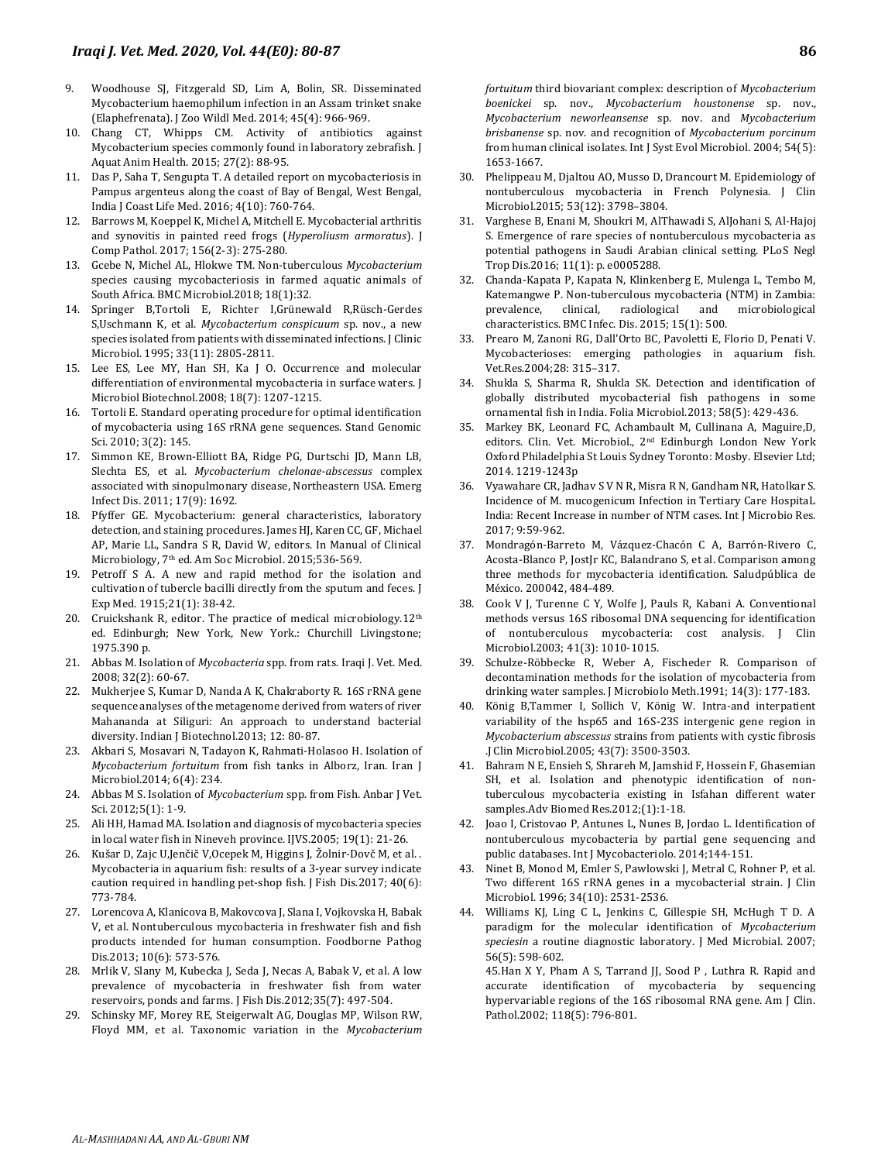- 9. Woodhouse SJ, Fitzgerald SD, Lim A, Bolin, SR. Disseminated Mycobacterium haemophilum infection in an Assam trinket snake (Elaphefrenata). J Zoo Wildl Med. 2014; 45(4): 966-969.
- 10. Chang CT, Whipps CM. Activity of antibiotics against Mycobacterium species commonly found in laboratory zebrafish. J Aquat Anim Health. 2015; 27(2): 88-95.
- 11. Das P, Saha T, Sengupta T. A detailed report on mycobacteriosis in Pampus argenteus along the coast of Bay of Bengal, West Bengal, India J Coast Life Med. 2016; 4(10): 760-764.
- 12. Barrows M, Koeppel K, Michel A, Mitchell E. Mycobacterial arthritis and synovitis in painted reed frogs (*Hyperoliusm armoratus*). J Comp Pathol. 2017; 156(2-3): 275-280.
- 13. Gcebe N, Michel AL, Hlokwe TM. Non-tuberculous *Mycobacterium* species causing mycobacteriosis in farmed aquatic animals of South Africa. BMC Microbiol.2018; 18(1):32.
- 14. Springer B,Tortoli E, Richter I,Grünewald R,Rüsch-Gerdes S,Uschmann K, et al. *Mycobacterium conspicuum* sp. nov., a new species isolated from patients with disseminated infections. J Clinic Microbiol. 1995; 33(11): 2805-2811.
- 15. Lee ES, Lee MY, Han SH, Ka J O. Occurrence and molecular differentiation of environmental mycobacteria in surface waters. J Microbiol Biotechnol.2008; 18(7): 1207-1215.
- 16. Tortoli E. Standard operating procedure for optimal identification of mycobacteria using 16S rRNA gene sequences. Stand Genomic Sci. 2010; 3(2): 145.
- 17. Simmon KE, Brown-Elliott BA, Ridge PG, Durtschi JD, Mann LB, Slechta ES, et al. *Mycobacterium chelonae-abscessus* complex associated with sinopulmonary disease, Northeastern USA. Emerg Infect Dis. 2011; 17(9): 1692.
- 18. Pfyffer GE. Mycobacterium: general characteristics, laboratory detection, and staining procedures. James HJ, Karen CC, GF, Michael AP, Marie LL, Sandra S R, David W, editors. In Manual of Clinical Microbiology, 7th ed. Am Soc Microbiol. 2015;536-569.
- 19. Petroff S A. A new and rapid method for the isolation and cultivation of tubercle bacilli directly from the sputum and feces. J Exp Med. 1915;21(1): 38-42.
- 20. Cruickshank R, editor. The practice of medical microbiology.12<sup>th</sup> ed. Edinburgh; New York, New York.: Churchill Livingstone; 1975.390 p.
- 21. Abbas M. Isolation of *Mycobacteria* spp. from rats. Iraqi J. Vet. Med. 2008; 32(2): 60-67.
- 22. Mukherjee S, Kumar D, Nanda A K, Chakraborty R. 16S rRNA gene sequence analyses of the metagenome derived from waters of river Mahananda at Siliguri: An approach to understand bacterial diversity. Indian J Biotechnol.2013; 12: 80-87.
- 23. Akbari S, Mosavari N, Tadayon K, Rahmati-Holasoo H. Isolation of *Mycobacterium fortuitum* from fish tanks in Alborz, Iran. Iran J Microbiol.2014; 6(4): 234.
- 24. Abbas M S. Isolation of *Mycobacterium* spp. from Fish. Anbar J Vet. Sci. 2012;5(1): 1-9.
- 25. Ali HH, Hamad MA. Isolation and diagnosis of mycobacteria species in local water fish in Nineveh province. IJVS.2005; 19(1): 21-26.
- 26. Kušar D, Zajc U,Jenčič V,Ocepek M, Higgins J, Žolnir‐Dovč M, et al. . Mycobacteria in aquarium fish: results of a 3‐year survey indicate caution required in handling pet‐shop fish. J Fish Dis.2017; 40(6): 773-784.
- 27. Lorencova A, Klanicova B, Makovcova J, Slana I, Vojkovska H, Babak V, et al. Nontuberculous mycobacteria in freshwater fish and fish products intended for human consumption. Foodborne Pathog Dis.2013; 10(6): 573-576.
- 28. Mrlik V, Slany M, Kubecka J, Seda J, Necas A, Babak V, et al. A low prevalence of mycobacteria in freshwater fish from water reservoirs, ponds and farms. J Fish Dis.2012;35(7): 497-504.
- 29. Schinsky MF, Morey RE, Steigerwalt AG, Douglas MP, Wilson RW, Floyd MM, et al. Taxonomic variation in the *Mycobacterium*

*fortuitum* third biovariant complex: description of *Mycobacterium boenickei* sp. nov., *Mycobacterium houstonense* sp. nov., *Mycobacterium neworleansense* sp. nov. and *Mycobacterium brisbanense* sp. nov. and recognition of *Mycobacterium porcinum* from human clinical isolates. Int J Syst Evol Microbiol. 2004; 54(5): 1653-1667.

- 30. Phelippeau M, Djaltou AO, Musso D, Drancourt M. Epidemiology of nontuberculous mycobacteria in French Polynesia. J Clin Microbiol.2015; 53(12): 3798–3804.
- 31. Varghese B, Enani M, Shoukri M, AlThawadi S, AlJohani S, Al-Hajoj S. Emergence of rare species of nontuberculous mycobacteria as potential pathogens in Saudi Arabian clinical setting. PLoS Negl Trop Dis.2016; 11(1): p. e0005288.
- 32. Chanda-Kapata P, Kapata N, Klinkenberg E, Mulenga L, Tembo M, Katemangwe P. Non-tuberculous mycobacteria (NTM) in Zambia: prevalence, clinical, radiological and microbiological characteristics. BMC Infec. Dis. 2015; 15(1): 500.
- 33. Prearo M, Zanoni RG, Dall'Orto BC, Pavoletti E, Florio D, Penati V. Mycobacterioses: emerging pathologies in aquarium fish. Vet.Res.2004;28: 315–317.
- 34. Shukla S, Sharma R, Shukla SK. Detection and identification of globally distributed mycobacterial fish pathogens in some ornamental fish in India. Folia Microbiol.2013; 58(5): 429-436.
- 35. Markey BK, Leonard FC, Achambault M, Cullinana A, Maguire,D, editors. Clin. Vet. Microbiol., 2nd Edinburgh London New York Oxford Philadelphia St Louis Sydney Toronto: Mosby. Elsevier Ltd; 2014. 1219-1243p
- 36. Vyawahare CR, Jadhav S V N R, Misra R N, Gandham NR, Hatolkar S. Incidence of M. mucogenicum Infection in Tertiary Care HospitaL India: Recent Increase in number of NTM cases. Int J Microbio Res. 2017; 9:59-962.
- 37. Mondragón-Barreto M, Vázquez-Chacón C A, Barrón-Rivero C, Acosta-Blanco P, JostJr KC, Balandrano S, et al. Comparison among three methods for mycobacteria identification. Saludpública de México. 200042, 484-489.
- 38. Cook V J, Turenne C Y, Wolfe J, Pauls R, Kabani A. Conventional methods versus 16S ribosomal DNA sequencing for identification of nontuberculous mycobacteria: cost analysis. J Clin Microbiol.2003; 41(3): 1010-1015.
- 39. Schulze-Röbbecke R, Weber A, Fischeder R. Comparison of decontamination methods for the isolation of mycobacteria from drinking water samples. J Microbiolo Meth.1991; 14(3): 177-183.
- 40. König B,Tammer I, Sollich V, König W. Intra-and interpatient variability of the hsp65 and 16S-23S intergenic gene region in *Mycobacterium abscessus* strains from patients with cystic fibrosis .J Clin Microbiol.2005; 43(7): 3500-3503.
- 41. Bahram N E, Ensieh S, Shrareh M, Jamshid F, Hossein F, Ghasemian SH, et al. Isolation and phenotypic identification of nontuberculous mycobacteria existing in Isfahan different water samples.Adv Biomed Res.2012;(1):1-18.
- 42. Joao I, Cristovao P, Antunes L, Nunes B, Jordao L. Identification of nontuberculous mycobacteria by partial gene sequencing and public databases. Int J Mycobacteriolo. 2014;144-151.
- 43. Ninet B, Monod M, Emler S, Pawlowski J, Metral C, Rohner P, et al. Two different 16S rRNA genes in a mycobacterial strain. J Clin Microbiol. 1996; 34(10): 2531-2536.
- 44. Williams KJ, Ling C L, Jenkins C, Gillespie SH, McHugh T D. A paradigm for the molecular identification of *Mycobacterium speciesin* a routine diagnostic laboratory. J Med Microbial. 2007; 56(5): 598-602.

45.Han X Y, Pham A S, Tarrand JJ, Sood P , Luthra R. Rapid and accurate identification of mycobacteria by sequencing hypervariable regions of the 16S ribosomal RNA gene. Am J Clin. Pathol.2002; 118(5): 796-801.